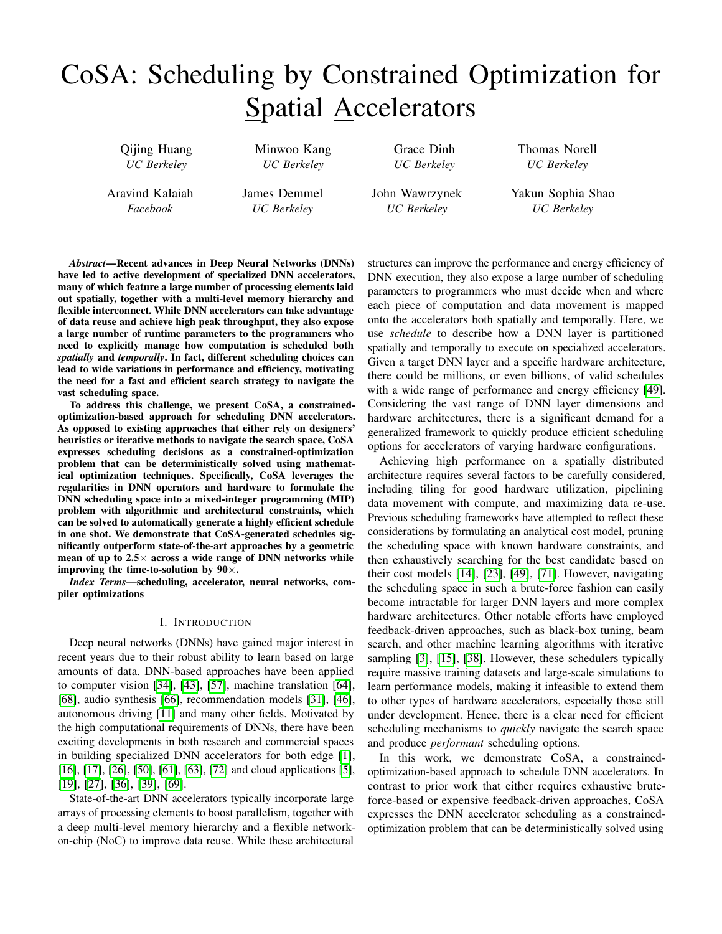# CoSA: Scheduling by Constrained Optimization for Spatial Accelerators

Qijing Huang *UC Berkeley*

Minwoo Kang *UC Berkeley*

James Demmel *UC Berkeley*

Grace Dinh *UC Berkeley*

John Wawrzynek *UC Berkeley*

Thomas Norell *UC Berkeley*

Aravind Kalaiah *Facebook*

vast scheduling space.

*Abstract*—Recent advances in Deep Neural Networks (DNNs) have led to active development of specialized DNN accelerators, many of which feature a large number of processing elements laid out spatially, together with a multi-level memory hierarchy and flexible interconnect. While DNN accelerators can take advantage of data reuse and achieve high peak throughput, they also expose a large number of runtime parameters to the programmers who need to explicitly manage how computation is scheduled both *spatially* and *temporally*. In fact, different scheduling choices can lead to wide variations in performance and efficiency, motivating the need for a fast and efficient search strategy to navigate the

To address this challenge, we present CoSA, a constrainedoptimization-based approach for scheduling DNN accelerators. As opposed to existing approaches that either rely on designers' heuristics or iterative methods to navigate the search space, CoSA expresses scheduling decisions as a constrained-optimization problem that can be deterministically solved using mathematical optimization techniques. Specifically, CoSA leverages the regularities in DNN operators and hardware to formulate the DNN scheduling space into a mixed-integer programming (MIP) problem with algorithmic and architectural constraints, which can be solved to automatically generate a highly efficient schedule in one shot. We demonstrate that CoSA-generated schedules significantly outperform state-of-the-art approaches by a geometric mean of up to  $2.5\times$  across a wide range of DNN networks while improving the time-to-solution by  $90\times$ .

*Index Terms*—scheduling, accelerator, neural networks, compiler optimizations

# I. INTRODUCTION

Deep neural networks (DNNs) have gained major interest in recent years due to their robust ability to learn based on large amounts of data. DNN-based approaches have been applied to computer vision [\[34\]](#page-11-0), [\[43\]](#page-12-0), [\[57\]](#page-12-1), machine translation [\[64\]](#page-12-2), [\[68\]](#page-12-3), audio synthesis [\[66\]](#page-12-4), recommendation models [\[31\]](#page-11-1), [\[46\]](#page-12-5), autonomous driving [\[11\]](#page-11-2) and many other fields. Motivated by the high computational requirements of DNNs, there have been exciting developments in both research and commercial spaces in building specialized DNN accelerators for both edge [\[1\]](#page-11-3), [\[16\]](#page-11-4), [\[17\]](#page-11-5), [\[26\]](#page-11-6), [\[50\]](#page-12-6), [\[61\]](#page-12-7), [\[63\]](#page-12-8), [\[72\]](#page-12-9) and cloud applications [\[5\]](#page-11-7), [\[19\]](#page-11-8), [\[27\]](#page-11-9), [\[36\]](#page-11-10), [\[39\]](#page-11-11), [\[69\]](#page-12-10).

State-of-the-art DNN accelerators typically incorporate large arrays of processing elements to boost parallelism, together with a deep multi-level memory hierarchy and a flexible networkon-chip (NoC) to improve data reuse. While these architectural

structures can improve the performance and energy efficiency of DNN execution, they also expose a large number of scheduling parameters to programmers who must decide when and where each piece of computation and data movement is mapped onto the accelerators both spatially and temporally. Here, we use *schedule* to describe how a DNN layer is partitioned spatially and temporally to execute on specialized accelerators. Given a target DNN layer and a specific hardware architecture, there could be millions, or even billions, of valid schedules with a wide range of performance and energy efficiency [\[49\]](#page-12-11). Considering the vast range of DNN layer dimensions and hardware architectures, there is a significant demand for a generalized framework to quickly produce efficient scheduling options for accelerators of varying hardware configurations.

Achieving high performance on a spatially distributed architecture requires several factors to be carefully considered, including tiling for good hardware utilization, pipelining data movement with compute, and maximizing data re-use. Previous scheduling frameworks have attempted to reflect these considerations by formulating an analytical cost model, pruning the scheduling space with known hardware constraints, and then exhaustively searching for the best candidate based on their cost models [\[14\]](#page-11-12), [\[23\]](#page-11-13), [\[49\]](#page-12-11), [\[71\]](#page-12-12). However, navigating the scheduling space in such a brute-force fashion can easily become intractable for larger DNN layers and more complex hardware architectures. Other notable efforts have employed feedback-driven approaches, such as black-box tuning, beam search, and other machine learning algorithms with iterative sampling [\[3\]](#page-11-14), [\[15\]](#page-11-15), [\[38\]](#page-11-16). However, these schedulers typically require massive training datasets and large-scale simulations to learn performance models, making it infeasible to extend them to other types of hardware accelerators, especially those still under development. Hence, there is a clear need for efficient scheduling mechanisms to *quickly* navigate the search space and produce *performant* scheduling options.

In this work, we demonstrate CoSA, a constrainedoptimization-based approach to schedule DNN accelerators. In contrast to prior work that either requires exhaustive bruteforce-based or expensive feedback-driven approaches, CoSA expresses the DNN accelerator scheduling as a constrainedoptimization problem that can be deterministically solved using

Yakun Sophia Shao

*UC Berkeley*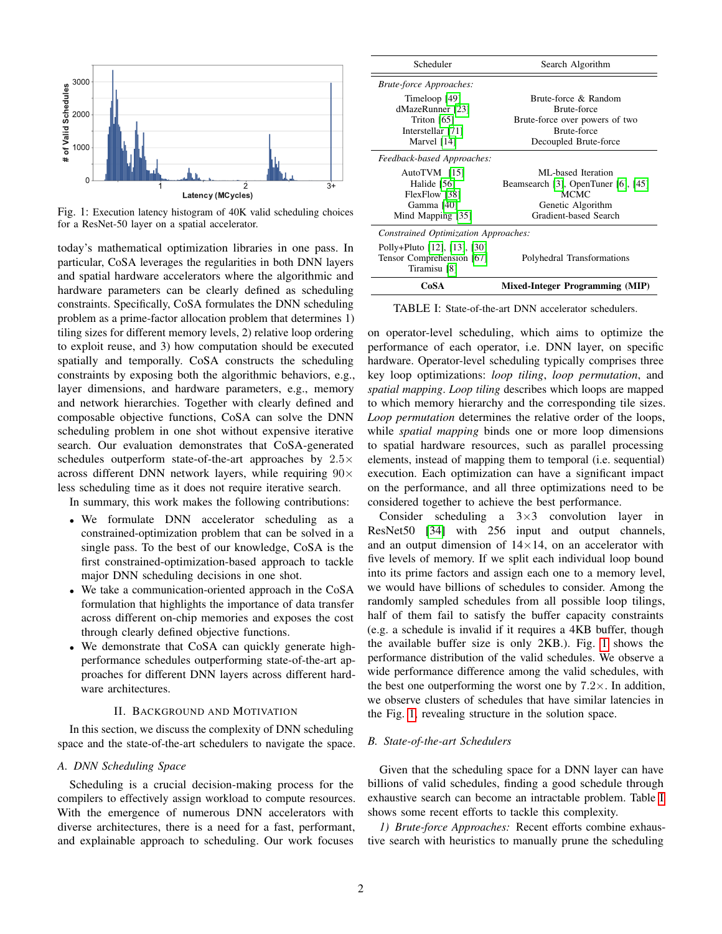<span id="page-1-0"></span>

Fig. 1: Execution latency histogram of 40K valid scheduling choices for a ResNet-50 layer on a spatial accelerator.

today's mathematical optimization libraries in one pass. In particular, CoSA leverages the regularities in both DNN layers and spatial hardware accelerators where the algorithmic and hardware parameters can be clearly defined as scheduling constraints. Specifically, CoSA formulates the DNN scheduling problem as a prime-factor allocation problem that determines 1) tiling sizes for different memory levels, 2) relative loop ordering to exploit reuse, and 3) how computation should be executed spatially and temporally. CoSA constructs the scheduling constraints by exposing both the algorithmic behaviors, e.g., layer dimensions, and hardware parameters, e.g., memory and network hierarchies. Together with clearly defined and composable objective functions, CoSA can solve the DNN scheduling problem in one shot without expensive iterative search. Our evaluation demonstrates that CoSA-generated schedules outperform state-of-the-art approaches by 2.5× across different DNN network layers, while requiring  $90\times$ less scheduling time as it does not require iterative search.

In summary, this work makes the following contributions:

- We formulate DNN accelerator scheduling as a constrained-optimization problem that can be solved in a single pass. To the best of our knowledge, CoSA is the first constrained-optimization-based approach to tackle major DNN scheduling decisions in one shot.
- We take a communication-oriented approach in the CoSA formulation that highlights the importance of data transfer across different on-chip memories and exposes the cost through clearly defined objective functions.
- We demonstrate that CoSA can quickly generate highperformance schedules outperforming state-of-the-art approaches for different DNN layers across different hardware architectures.

## II. BACKGROUND AND MOTIVATION

In this section, we discuss the complexity of DNN scheduling space and the state-of-the-art schedulers to navigate the space.

## *A. DNN Scheduling Space*

Scheduling is a crucial decision-making process for the compilers to effectively assign workload to compute resources. With the emergence of numerous DNN accelerators with diverse architectures, there is a need for a fast, performant, and explainable approach to scheduling. Our work focuses

<span id="page-1-1"></span>

| Scheduler                            | Search Algorithm                       |
|--------------------------------------|----------------------------------------|
| <b>Brute-force Approaches:</b>       |                                        |
| Timeloop [49]                        | Brute-force & Random                   |
| dMazeRunner [23]                     | Brute-force                            |
| Triton [65]                          | Brute-force over powers of two         |
| Interstellar [71]                    | Brute-force                            |
| Marvel [14]                          | Decoupled Brute-force                  |
| Feedback-based Approaches:           |                                        |
| AutoTVM [15]                         | ML-based Iteration                     |
| Halide [56]                          | Beamsearch [3], OpenTuner [6], [45]    |
| FlexFlow [38]                        | <b>MCMC</b>                            |
| Gamma [40]                           | Genetic Algorithm                      |
| Mind Mapping [35]                    | Gradient-based Search                  |
| Constrained Optimization Approaches: |                                        |
| Polly+Pluto [12], [13], [30]         |                                        |
| Tensor Comprehension [67]            | Polyhedral Transformations             |
| Tiramisu [8]                         |                                        |
| CoSA                                 | <b>Mixed-Integer Programming (MIP)</b> |

TABLE I: State-of-the-art DNN accelerator schedulers.

on operator-level scheduling, which aims to optimize the performance of each operator, i.e. DNN layer, on specific hardware. Operator-level scheduling typically comprises three key loop optimizations: *loop tiling*, *loop permutation*, and *spatial mapping*. *Loop tiling* describes which loops are mapped to which memory hierarchy and the corresponding tile sizes. *Loop permutation* determines the relative order of the loops, while *spatial mapping* binds one or more loop dimensions to spatial hardware resources, such as parallel processing elements, instead of mapping them to temporal (i.e. sequential) execution. Each optimization can have a significant impact on the performance, and all three optimizations need to be considered together to achieve the best performance.

Consider scheduling a  $3\times3$  convolution layer in ResNet50 [\[34\]](#page-11-0) with 256 input and output channels, and an output dimension of  $14\times14$ , on an accelerator with five levels of memory. If we split each individual loop bound into its prime factors and assign each one to a memory level, we would have billions of schedules to consider. Among the randomly sampled schedules from all possible loop tilings, half of them fail to satisfy the buffer capacity constraints (e.g. a schedule is invalid if it requires a 4KB buffer, though the available buffer size is only 2KB.). Fig. [1](#page-1-0) shows the performance distribution of the valid schedules. We observe a wide performance difference among the valid schedules, with the best one outperforming the worst one by  $7.2 \times$ . In addition, we observe clusters of schedules that have similar latencies in the Fig. [1,](#page-1-0) revealing structure in the solution space.

## *B. State-of-the-art Schedulers*

Given that the scheduling space for a DNN layer can have billions of valid schedules, finding a good schedule through exhaustive search can become an intractable problem. Table [I](#page-1-1) shows some recent efforts to tackle this complexity.

*1) Brute-force Approaches:* Recent efforts combine exhaustive search with heuristics to manually prune the scheduling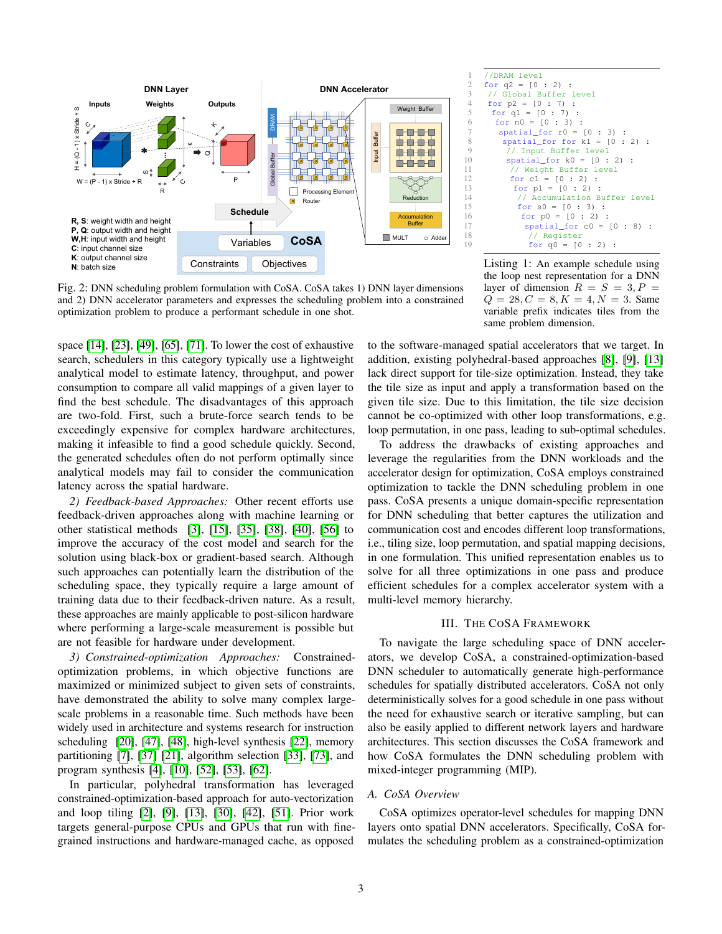<span id="page-2-0"></span>

Fig. 2: DNN scheduling problem formulation with CoSA. CoSA takes 1) DNN layer dimensions and 2) DNN accelerator parameters and expresses the scheduling problem into a constrained optimization problem to produce a performant schedule in one shot.

space [\[14\]](#page-11-12), [\[23\]](#page-11-13), [\[49\]](#page-12-11), [\[65\]](#page-12-13), [\[71\]](#page-12-12). To lower the cost of exhaustive search, schedulers in this category typically use a lightweight analytical model to estimate latency, throughput, and power consumption to compare all valid mappings of a given layer to find the best schedule. The disadvantages of this approach are two-fold. First, such a brute-force search tends to be exceedingly expensive for complex hardware architectures, making it infeasible to find a good schedule quickly. Second, the generated schedules often do not perform optimally since analytical models may fail to consider the communication latency across the spatial hardware.

*2) Feedback-based Approaches:* Other recent efforts use feedback-driven approaches along with machine learning or other statistical methods [\[3\]](#page-11-14), [\[15\]](#page-11-15), [\[35\]](#page-11-18), [\[38\]](#page-11-16), [\[40\]](#page-12-16), [\[56\]](#page-12-14) to improve the accuracy of the cost model and search for the solution using black-box or gradient-based search. Although such approaches can potentially learn the distribution of the scheduling space, they typically require a large amount of training data due to their feedback-driven nature. As a result, these approaches are mainly applicable to post-silicon hardware where performing a large-scale measurement is possible but are not feasible for hardware under development.

*3) Constrained-optimization Approaches:* Constrainedoptimization problems, in which objective functions are maximized or minimized subject to given sets of constraints, have demonstrated the ability to solve many complex largescale problems in a reasonable time. Such methods have been widely used in architecture and systems research for instruction scheduling [\[20\]](#page-11-23), [\[47\]](#page-12-18), [\[48\]](#page-12-19), high-level synthesis [\[22\]](#page-11-24), memory partitioning [\[7\]](#page-11-25), [\[37\]](#page-11-26) [\[21\]](#page-11-27), algorithm selection [\[33\]](#page-11-28), [\[73\]](#page-12-20), and program synthesis [\[4\]](#page-11-29), [\[10\]](#page-11-30), [\[52\]](#page-12-21), [\[53\]](#page-12-22), [\[62\]](#page-12-23).

In particular, polyhedral transformation has leveraged constrained-optimization-based approach for auto-vectorization and loop tiling [\[2\]](#page-11-31), [\[9\]](#page-11-32), [\[13\]](#page-11-20), [\[30\]](#page-11-21), [\[42\]](#page-12-24), [\[51\]](#page-12-25). Prior work targets general-purpose CPUs and GPUs that run with finegrained instructions and hardware-managed cache, as opposed

<span id="page-2-1"></span>

Listing 1: An example schedule using the loop nest representation for a DNN layer of dimension  $R = S = 3, P =$  $Q = 28, C = 8, K = 4, N = 3$ . Same variable prefix indicates tiles from the same problem dimension.

to the software-managed spatial accelerators that we target. In addition, existing polyhedral-based approaches [\[8\]](#page-11-22), [\[9\]](#page-11-32), [\[13\]](#page-11-20) lack direct support for tile-size optimization. Instead, they take the tile size as input and apply a transformation based on the given tile size. Due to this limitation, the tile size decision cannot be co-optimized with other loop transformations, e.g. loop permutation, in one pass, leading to sub-optimal schedules.

To address the drawbacks of existing approaches and leverage the regularities from the DNN workloads and the accelerator design for optimization, CoSA employs constrained optimization to tackle the DNN scheduling problem in one pass. CoSA presents a unique domain-specific representation for DNN scheduling that better captures the utilization and communication cost and encodes different loop transformations, i.e., tiling size, loop permutation, and spatial mapping decisions, in one formulation. This unified representation enables us to solve for all three optimizations in one pass and produce efficient schedules for a complex accelerator system with a multi-level memory hierarchy.

# III. THE COSA FRAMEWORK

To navigate the large scheduling space of DNN accelerators, we develop CoSA, a constrained-optimization-based DNN scheduler to automatically generate high-performance schedules for spatially distributed accelerators. CoSA not only deterministically solves for a good schedule in one pass without the need for exhaustive search or iterative sampling, but can also be easily applied to different network layers and hardware architectures. This section discusses the CoSA framework and how CoSA formulates the DNN scheduling problem with mixed-integer programming (MIP).

# *A. CoSA Overview*

CoSA optimizes operator-level schedules for mapping DNN layers onto spatial DNN accelerators. Specifically, CoSA formulates the scheduling problem as a constrained-optimization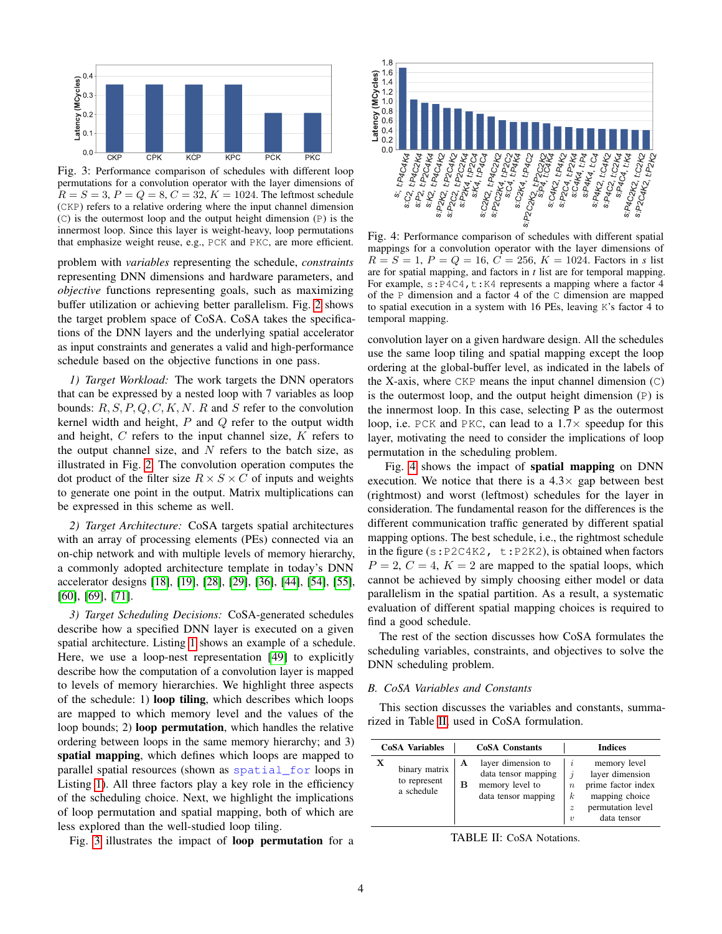<span id="page-3-0"></span>

Fig. 3: Performance comparison of schedules with different loop permutations for a convolution operator with the layer dimensions of  $R = S = 3, P = Q = 8, C = 32, K = 1024$ . The leftmost schedule (CKP) refers to a relative ordering where the input channel dimension (C) is the outermost loop and the output height dimension (P) is the innermost loop. Since this layer is weight-heavy, loop permutations that emphasize weight reuse, e.g., PCK and PKC, are more efficient.

problem with *variables* representing the schedule, *constraints* representing DNN dimensions and hardware parameters, and *objective* functions representing goals, such as maximizing buffer utilization or achieving better parallelism. Fig. [2](#page-2-0) shows the target problem space of CoSA. CoSA takes the specifications of the DNN layers and the underlying spatial accelerator as input constraints and generates a valid and high-performance schedule based on the objective functions in one pass.

*1) Target Workload:* The work targets the DNN operators that can be expressed by a nested loop with 7 variables as loop bounds:  $R, S, P, Q, C, K, N$ . R and S refer to the convolution kernel width and height,  $P$  and  $Q$  refer to the output width and height, C refers to the input channel size, K refers to the output channel size, and  $N$  refers to the batch size, as illustrated in Fig. [2.](#page-2-0) The convolution operation computes the dot product of the filter size  $R \times S \times C$  of inputs and weights to generate one point in the output. Matrix multiplications can be expressed in this scheme as well.

*2) Target Architecture:* CoSA targets spatial architectures with an array of processing elements (PEs) connected via an on-chip network and with multiple levels of memory hierarchy, a commonly adopted architecture template in today's DNN accelerator designs [\[18\]](#page-11-33), [\[19\]](#page-11-8), [\[28\]](#page-11-34), [\[29\]](#page-11-35), [\[36\]](#page-11-10), [\[44\]](#page-12-26), [\[54\]](#page-12-27), [\[55\]](#page-12-28), [\[60\]](#page-12-29), [\[69\]](#page-12-10), [\[71\]](#page-12-12).

*3) Target Scheduling Decisions:* CoSA-generated schedules describe how a specified DNN layer is executed on a given spatial architecture. Listing [1](#page-2-1) shows an example of a schedule. Here, we use a loop-nest representation [\[49\]](#page-12-11) to explicitly describe how the computation of a convolution layer is mapped to levels of memory hierarchies. We highlight three aspects of the schedule: 1) loop tiling, which describes which loops are mapped to which memory level and the values of the loop bounds; 2) loop permutation, which handles the relative ordering between loops in the same memory hierarchy; and 3) spatial mapping, which defines which loops are mapped to parallel spatial resources (shown as spatial\_for loops in Listing [1\)](#page-2-1). All three factors play a key role in the efficiency of the scheduling choice. Next, we highlight the implications of loop permutation and spatial mapping, both of which are less explored than the well-studied loop tiling.

Fig. [3](#page-3-0) illustrates the impact of loop permutation for a

<span id="page-3-1"></span>

Fig. 4: Performance comparison of schedules with different spatial mappings for a convolution operator with the layer dimensions of  $R = S = 1, P = Q = 16, C = 256, K = 1024.$  Factors in *s* list are for spatial mapping, and factors in *t* list are for temporal mapping. For example,  $s: P4C4$ ,  $t:K4$  represents a mapping where a factor 4 of the P dimension and a factor 4 of the C dimension are mapped to spatial execution in a system with 16 PEs, leaving K's factor 4 to temporal mapping.

convolution layer on a given hardware design. All the schedules use the same loop tiling and spatial mapping except the loop ordering at the global-buffer level, as indicated in the labels of the X-axis, where CKP means the input channel dimension (C) is the outermost loop, and the output height dimension  $(P)$  is the innermost loop. In this case, selecting P as the outermost loop, i.e. PCK and PKC, can lead to a  $1.7\times$  speedup for this layer, motivating the need to consider the implications of loop permutation in the scheduling problem.

Fig. [4](#page-3-1) shows the impact of spatial mapping on DNN execution. We notice that there is a  $4.3\times$  gap between best (rightmost) and worst (leftmost) schedules for the layer in consideration. The fundamental reason for the differences is the different communication traffic generated by different spatial mapping options. The best schedule, i.e., the rightmost schedule in the figure ( $s:P2C4K2$ ,  $t:P2K2$ ), is obtained when factors  $P = 2, C = 4, K = 2$  are mapped to the spatial loops, which cannot be achieved by simply choosing either model or data parallelism in the spatial partition. As a result, a systematic evaluation of different spatial mapping choices is required to find a good schedule.

The rest of the section discusses how CoSA formulates the scheduling variables, constraints, and objectives to solve the DNN scheduling problem.

## *B. CoSA Variables and Constants*

This section discusses the variables and constants, summarized in Table [II,](#page-3-2) used in CoSA formulation.

<span id="page-3-2"></span>

|   | <b>CoSA</b> Variables                       |        | <b>CoSA</b> Constants                                                               | <b>Indices</b>                                                   |                                                                                                             |  |  |
|---|---------------------------------------------|--------|-------------------------------------------------------------------------------------|------------------------------------------------------------------|-------------------------------------------------------------------------------------------------------------|--|--|
| X | binary matrix<br>to represent<br>a schedule | Α<br>в | layer dimension to<br>data tensor mapping<br>memory level to<br>data tensor mapping | $\mathcal{I}$<br>$\boldsymbol{n}$<br>k.<br>$\tilde{z}$<br>$\eta$ | memory level<br>layer dimension<br>prime factor index<br>mapping choice<br>permutation level<br>data tensor |  |  |

TABLE II: CoSA Notations.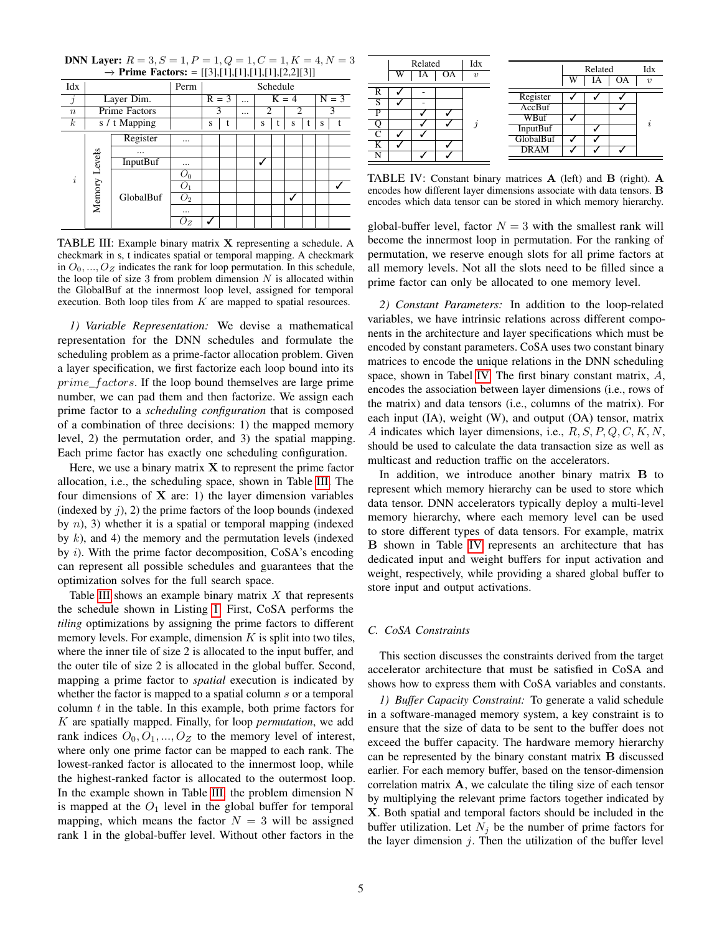| Idx              |                  |               | Perm           |         | Schedule |           |                |  |                |  |         |  |
|------------------|------------------|---------------|----------------|---------|----------|-----------|----------------|--|----------------|--|---------|--|
| $\jmath$         |                  | Layer Dim.    |                | $R = 3$ |          | $\ddotsc$ | $K = 4$        |  |                |  | $N = 3$ |  |
| $\boldsymbol{n}$ |                  | Prime Factors |                | 3       |          | $\cdots$  | $\overline{c}$ |  | $\overline{c}$ |  |         |  |
| $\boldsymbol{k}$ |                  | s / t Mapping |                | S       | t        |           | S              |  | S              |  | S       |  |
| $\dot{i}$        | Levels<br>Memory | Register      |                |         |          |           |                |  |                |  |         |  |
|                  |                  | $\cdots$      |                |         |          |           |                |  |                |  |         |  |
|                  |                  | InputBuf      | $\cdots$       |         |          |           | ↵              |  |                |  |         |  |
|                  |                  |               | $O_0$          |         |          |           |                |  |                |  |         |  |
|                  |                  |               |                |         |          |           |                |  |                |  |         |  |
|                  |                  | GlobalBuf     | O <sub>2</sub> |         |          |           |                |  | √              |  |         |  |
|                  |                  |               |                |         |          |           |                |  |                |  |         |  |
|                  |                  |               | $\cup_Z$       |         |          |           |                |  |                |  |         |  |

<span id="page-4-0"></span>**DNN Layer:**  $R = 3, S = 1, P = 1, Q = 1, C = 1, K = 4, N = 3$ −→ Prime Factors: = [[3],[1],[1],[1],[1],[2,2][3]]

TABLE III: Example binary matrix  $X$  representing a schedule. A checkmark in s, t indicates spatial or temporal mapping. A checkmark in  $O_0, ..., O_Z$  indicates the rank for loop permutation. In this schedule, the loop tile of size 3 from problem dimension  $N$  is allocated within the GlobalBuf at the innermost loop level, assigned for temporal execution. Both loop tiles from  $K$  are mapped to spatial resources.

*1) Variable Representation:* We devise a mathematical representation for the DNN schedules and formulate the scheduling problem as a prime-factor allocation problem. Given a layer specification, we first factorize each loop bound into its prime\_factors. If the loop bound themselves are large prime number, we can pad them and then factorize. We assign each prime factor to a *scheduling configuration* that is composed of a combination of three decisions: 1) the mapped memory level, 2) the permutation order, and 3) the spatial mapping. Each prime factor has exactly one scheduling configuration.

Here, we use a binary matrix  $X$  to represent the prime factor allocation, i.e., the scheduling space, shown in Table [III.](#page-4-0) The four dimensions of  $X$  are: 1) the layer dimension variables (indexed by  $j$ ), 2) the prime factors of the loop bounds (indexed by  $n$ ), 3) whether it is a spatial or temporal mapping (indexed by  $k$ ), and 4) the memory and the permutation levels (indexed by i). With the prime factor decomposition, CoSA's encoding can represent all possible schedules and guarantees that the optimization solves for the full search space.

Table [III](#page-4-0) shows an example binary matrix  $X$  that represents the schedule shown in Listing [1.](#page-2-1) First, CoSA performs the *tiling* optimizations by assigning the prime factors to different memory levels. For example, dimension  $K$  is split into two tiles, where the inner tile of size 2 is allocated to the input buffer, and the outer tile of size 2 is allocated in the global buffer. Second, mapping a prime factor to *spatial* execution is indicated by whether the factor is mapped to a spatial column s or a temporal column  $t$  in the table. In this example, both prime factors for K are spatially mapped. Finally, for loop *permutation*, we add rank indices  $O_0, O_1, ..., O_Z$  to the memory level of interest, where only one prime factor can be mapped to each rank. The lowest-ranked factor is allocated to the innermost loop, while the highest-ranked factor is allocated to the outermost loop. In the example shown in Table [III,](#page-4-0) the problem dimension N is mapped at the  $O_1$  level in the global buffer for temporal mapping, which means the factor  $N = 3$  will be assigned rank 1 in the global-buffer level. Without other factors in the

<span id="page-4-1"></span>

|                         | W | Related<br>IA | OΑ | Idx<br>$\eta$ |                 | W | Related<br>IΑ | OΑ | Idx<br>$\eta$       |
|-------------------------|---|---------------|----|---------------|-----------------|---|---------------|----|---------------------|
|                         |   |               |    |               |                 |   |               |    |                     |
| R                       |   |               |    |               | Register        |   |               |    |                     |
| S                       |   |               |    |               | AccBuf          |   |               |    |                     |
| P                       |   |               |    |               |                 |   |               |    |                     |
|                         |   |               |    | $\mathbf{r}$  | WBuf            |   |               |    | $\boldsymbol{\eta}$ |
|                         |   |               |    |               | <b>InputBuf</b> |   |               |    |                     |
| ⌒                       |   |               |    |               | GlobalBuf       |   |               |    |                     |
| K                       |   |               |    |               |                 |   |               |    |                     |
| $\overline{\textsf{N}}$ |   |               |    |               | <b>DRAM</b>     |   |               |    |                     |
|                         |   |               |    |               |                 |   |               |    |                     |

TABLE IV: Constant binary matrices A (left) and B (right). A encodes how different layer dimensions associate with data tensors. B encodes which data tensor can be stored in which memory hierarchy.

global-buffer level, factor  $N = 3$  with the smallest rank will become the innermost loop in permutation. For the ranking of permutation, we reserve enough slots for all prime factors at all memory levels. Not all the slots need to be filled since a prime factor can only be allocated to one memory level.

<span id="page-4-3"></span>*2) Constant Parameters:* In addition to the loop-related variables, we have intrinsic relations across different components in the architecture and layer specifications which must be encoded by constant parameters. CoSA uses two constant binary matrices to encode the unique relations in the DNN scheduling space, shown in Tabel [IV.](#page-4-1) The first binary constant matrix,  $A$ , encodes the association between layer dimensions (i.e., rows of the matrix) and data tensors (i.e., columns of the matrix). For each input (IA), weight (W), and output (OA) tensor, matrix A indicates which layer dimensions, i.e.,  $R, S, P, Q, C, K, N$ , should be used to calculate the data transaction size as well as multicast and reduction traffic on the accelerators.

In addition, we introduce another binary matrix B to represent which memory hierarchy can be used to store which data tensor. DNN accelerators typically deploy a multi-level memory hierarchy, where each memory level can be used to store different types of data tensors. For example, matrix B shown in Table [IV](#page-4-1) represents an architecture that has dedicated input and weight buffers for input activation and weight, respectively, while providing a shared global buffer to store input and output activations.

## <span id="page-4-4"></span>*C. CoSA Constraints*

This section discusses the constraints derived from the target accelerator architecture that must be satisfied in CoSA and shows how to express them with CoSA variables and constants.

<span id="page-4-2"></span>*1) Buffer Capacity Constraint:* To generate a valid schedule in a software-managed memory system, a key constraint is to ensure that the size of data to be sent to the buffer does not exceed the buffer capacity. The hardware memory hierarchy can be represented by the binary constant matrix B discussed earlier. For each memory buffer, based on the tensor-dimension correlation matrix A, we calculate the tiling size of each tensor by multiplying the relevant prime factors together indicated by X. Both spatial and temporal factors should be included in the buffer utilization. Let  $N_i$  be the number of prime factors for the layer dimension  $j$ . Then the utilization of the buffer level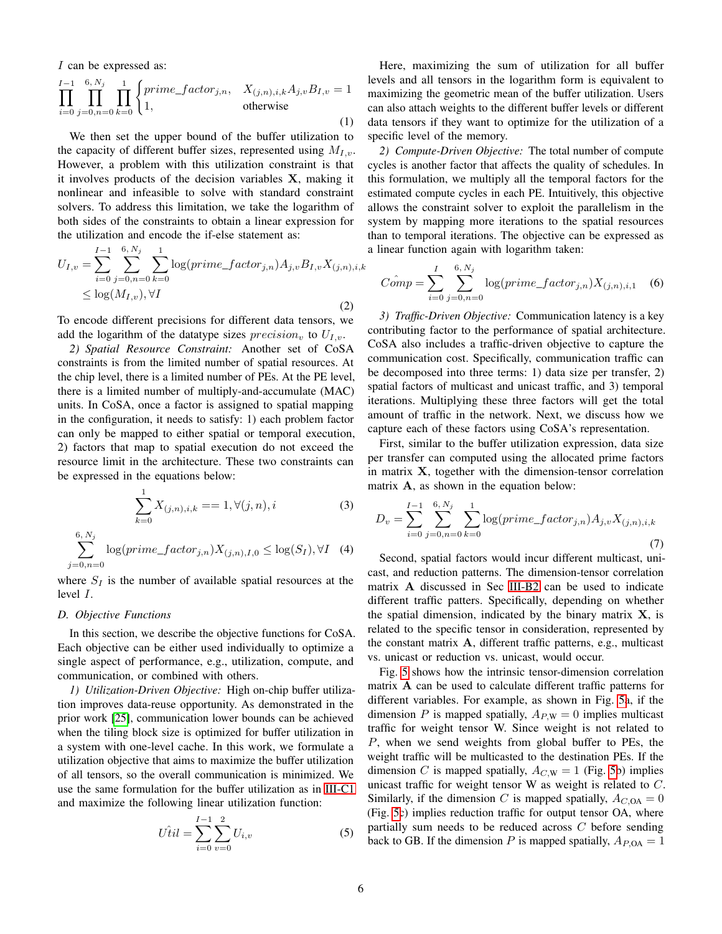I can be expressed as:

$$
\prod_{i=0}^{I-1} \prod_{j=0,n=0}^{6,\,N_j} \prod_{k=0}^{1} \begin{cases} prime\_factor_{j,n}, & X_{(j,n),i,k} A_{j,v} B_{I,v} = 1 \\ 1, & \text{otherwise} \end{cases}
$$
\n(1)

We then set the upper bound of the buffer utilization to the capacity of different buffer sizes, represented using  $M_{I,v}$ . However, a problem with this utilization constraint is that it involves products of the decision variables X, making it nonlinear and infeasible to solve with standard constraint solvers. To address this limitation, we take the logarithm of both sides of the constraints to obtain a linear expression for the utilization and encode the if-else statement as:

$$
U_{I,v} = \sum_{i=0}^{I-1} \sum_{j=0,n=0}^{6, N_j} \sum_{k=0}^{1} \log(prime_factor_{j,n}) A_{j,v} B_{I,v} X_{(j,n),i,k}
$$
  
 
$$
\leq \log(M_{I,v}), \forall I
$$
 (2)

To encode different precisions for different data tensors, we add the logarithm of the datatype sizes  $precision_v$  to  $U_{I,v}$ .

*2) Spatial Resource Constraint:* Another set of CoSA constraints is from the limited number of spatial resources. At the chip level, there is a limited number of PEs. At the PE level, there is a limited number of multiply-and-accumulate (MAC) units. In CoSA, once a factor is assigned to spatial mapping in the configuration, it needs to satisfy: 1) each problem factor can only be mapped to either spatial or temporal execution, 2) factors that map to spatial execution do not exceed the resource limit in the architecture. These two constraints can be expressed in the equations below:

$$
\sum_{k=0}^{1} X_{(j,n),i,k} = 1, \forall (j,n), i
$$
 (3)

$$
\sum_{j=0,n=0}^{6,N_j} \log(prime\_factor_{j,n}) X_{(j,n),I,0} \le \log(S_I), \forall I \quad (4)
$$

where  $S_I$  is the number of available spatial resources at the level I.

## *D. Objective Functions*

In this section, we describe the objective functions for CoSA. Each objective can be either used individually to optimize a single aspect of performance, e.g., utilization, compute, and communication, or combined with others.

*1) Utilization-Driven Objective:* High on-chip buffer utilization improves data-reuse opportunity. As demonstrated in the prior work [\[25\]](#page-11-36), communication lower bounds can be achieved when the tiling block size is optimized for buffer utilization in a system with one-level cache. In this work, we formulate a utilization objective that aims to maximize the buffer utilization of all tensors, so the overall communication is minimized. We use the same formulation for the buffer utilization as in [III-C1](#page-4-2) and maximize the following linear utilization function:

$$
U\hat{t}il = \sum_{i=0}^{I-1} \sum_{v=0}^{2} U_{i,v}
$$
 (5)

Here, maximizing the sum of utilization for all buffer levels and all tensors in the logarithm form is equivalent to maximizing the geometric mean of the buffer utilization. Users can also attach weights to the different buffer levels or different data tensors if they want to optimize for the utilization of a specific level of the memory.

*2) Compute-Driven Objective:* The total number of compute cycles is another factor that affects the quality of schedules. In this formulation, we multiply all the temporal factors for the estimated compute cycles in each PE. Intuitively, this objective allows the constraint solver to exploit the parallelism in the system by mapping more iterations to the spatial resources than to temporal iterations. The objective can be expressed as a linear function again with logarithm taken:

$$
\hat{Comp} = \sum_{i=0}^{I} \sum_{j=0,n=0}^{6, N_j} \log(prime\_factor_{j,n}) X_{(j,n),i,1} \quad (6)
$$

*3) Traffic-Driven Objective:* Communication latency is a key contributing factor to the performance of spatial architecture. CoSA also includes a traffic-driven objective to capture the communication cost. Specifically, communication traffic can be decomposed into three terms: 1) data size per transfer, 2) spatial factors of multicast and unicast traffic, and 3) temporal iterations. Multiplying these three factors will get the total amount of traffic in the network. Next, we discuss how we capture each of these factors using CoSA's representation.

First, similar to the buffer utilization expression, data size per transfer can computed using the allocated prime factors in matrix X, together with the dimension-tensor correlation matrix A, as shown in the equation below:

$$
D_v = \sum_{i=0}^{I-1} \sum_{j=0,n=0}^{6, N_j} \sum_{k=0}^{1} \log(prime\_factor_{j,n}) A_{j,v} X_{(j,n),i,k}
$$
\n(7)

Second, spatial factors would incur different multicast, unicast, and reduction patterns. The dimension-tensor correlation matrix A discussed in Sec [III-B2](#page-4-3) can be used to indicate different traffic patters. Specifically, depending on whether the spatial dimension, indicated by the binary matrix X, is related to the specific tensor in consideration, represented by the constant matrix A, different traffic patterns, e.g., multicast vs. unicast or reduction vs. unicast, would occur.

Fig. [5](#page-6-0) shows how the intrinsic tensor-dimension correlation matrix A can be used to calculate different traffic patterns for different variables. For example, as shown in Fig. [5a](#page-6-0), if the dimension P is mapped spatially,  $A_{PW} = 0$  implies multicast traffic for weight tensor W. Since weight is not related to P, when we send weights from global buffer to PEs, the weight traffic will be multicasted to the destination PEs. If the dimension C is mapped spatially,  $A_{C,W} = 1$  (Fig. [5b](#page-6-0)) implies unicast traffic for weight tensor  $W$  as weight is related to  $C$ . Similarly, if the dimension C is mapped spatially,  $A_{C,OA} = 0$ (Fig. [5c](#page-6-0)) implies reduction traffic for output tensor OA, where partially sum needs to be reduced across C before sending back to GB. If the dimension P is mapped spatially,  $A_{P,OA} = 1$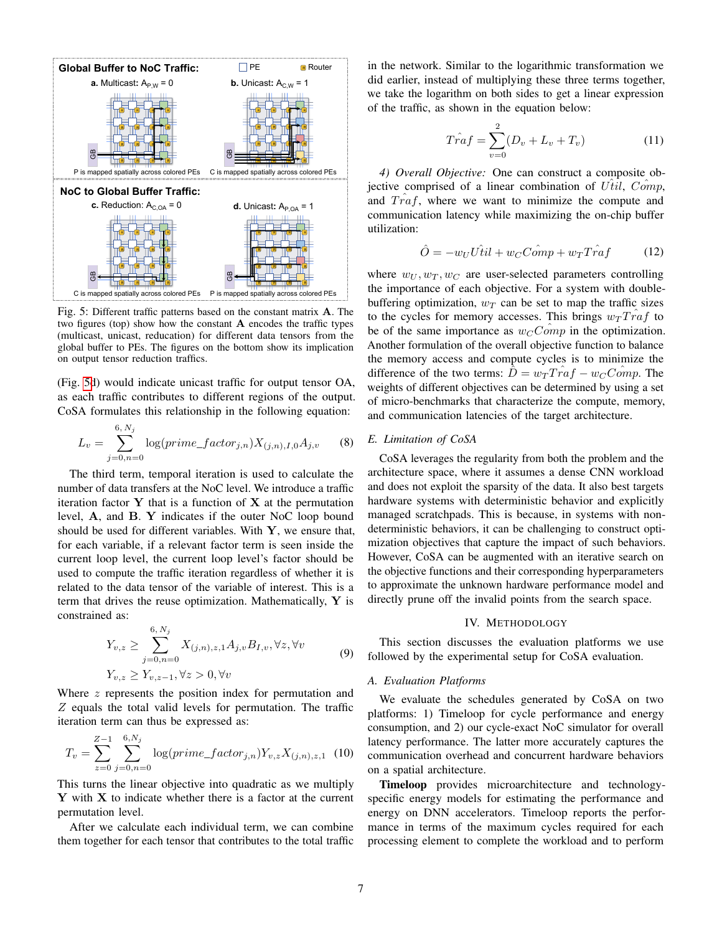<span id="page-6-0"></span>

Fig. 5: Different traffic patterns based on the constant matrix A. The two figures (top) show how the constant  $A$  encodes the traffic types (multicast, unicast, reducation) for different data tensors from the global buffer to PEs. The figures on the bottom show its implication on output tensor reduction traffics.

(Fig. [5d](#page-6-0)) would indicate unicast traffic for output tensor OA, as each traffic contributes to different regions of the output. CoSA formulates this relationship in the following equation:

$$
L_v = \sum_{j=0,n=0}^{6,\,N_j} \log(prime\_factor_{j,n}) X_{(j,n),I,0} A_{j,v} \tag{8}
$$

The third term, temporal iteration is used to calculate the number of data transfers at the NoC level. We introduce a traffic iteration factor  $Y$  that is a function of  $X$  at the permutation level, A, and B. Y indicates if the outer NoC loop bound should be used for different variables. With  $Y$ , we ensure that, for each variable, if a relevant factor term is seen inside the current loop level, the current loop level's factor should be used to compute the traffic iteration regardless of whether it is related to the data tensor of the variable of interest. This is a term that drives the reuse optimization. Mathematically,  $\bf{Y}$  is constrained as:

$$
Y_{v,z} \geq \sum_{j=0,n=0}^{6, N_j} X_{(j,n),z,1} A_{j,v} B_{I,v}, \forall z, \forall v
$$
  

$$
Y_{v,z} \geq Y_{v,z-1}, \forall z > 0, \forall v
$$
 (9)

Where  $z$  represents the position index for permutation and Z equals the total valid levels for permutation. The traffic iteration term can thus be expressed as:

$$
T_v = \sum_{z=0}^{Z-1} \sum_{j=0,n=0}^{6,N_j} \log(prime\_factor_{j,n}) Y_{v,z} X_{(j,n),z,1}
$$
 (10)

This turns the linear objective into quadratic as we multiply  $Y$  with  $X$  to indicate whether there is a factor at the current permutation level.

After we calculate each individual term, we can combine them together for each tensor that contributes to the total traffic in the network. Similar to the logarithmic transformation we did earlier, instead of multiplying these three terms together, we take the logarithm on both sides to get a linear expression of the traffic, as shown in the equation below:

$$
\hat{Traf} = \sum_{v=0}^{2} (D_v + L_v + T_v)
$$
 (11)

*4) Overall Objective:* One can construct a composite objective comprised of a linear combination of  $U<sup>t</sup>il$ ,  $Comp$ , and  $T r a f$ , where we want to minimize the compute and communication latency while maximizing the on-chip buffer utilization:

<span id="page-6-2"></span>
$$
\hat{O} = -w_U U \hat{t} i l + w_C C \hat{om} p + w_T T \hat{r} af \tag{12}
$$

where  $w_U, w_T, w_C$  are user-selected parameters controlling the importance of each objective. For a system with doublebuffering optimization,  $w_T$  can be set to map the traffic sizes to the cycles for memory accesses. This brings  $w_T T r a f$  to be of the same importance as  $w_{C}Comp$  in the optimization. Another formulation of the overall objective function to balance the memory access and compute cycles is to minimize the difference of the two terms:  $D = w_T Traf - w_C Comp$ . The weights of different objectives can be determined by using a set of micro-benchmarks that characterize the compute, memory, and communication latencies of the target architecture.

## *E. Limitation of CoSA*

CoSA leverages the regularity from both the problem and the architecture space, where it assumes a dense CNN workload and does not exploit the sparsity of the data. It also best targets hardware systems with deterministic behavior and explicitly managed scratchpads. This is because, in systems with nondeterministic behaviors, it can be challenging to construct optimization objectives that capture the impact of such behaviors. However, CoSA can be augmented with an iterative search on the objective functions and their corresponding hyperparameters to approximate the unknown hardware performance model and directly prune off the invalid points from the search space.

#### IV. METHODOLOGY

This section discusses the evaluation platforms we use followed by the experimental setup for CoSA evaluation.

#### <span id="page-6-1"></span>*A. Evaluation Platforms*

We evaluate the schedules generated by CoSA on two platforms: 1) Timeloop for cycle performance and energy consumption, and 2) our cycle-exact NoC simulator for overall latency performance. The latter more accurately captures the communication overhead and concurrent hardware behaviors on a spatial architecture.

Timeloop provides microarchitecture and technologyspecific energy models for estimating the performance and energy on DNN accelerators. Timeloop reports the performance in terms of the maximum cycles required for each processing element to complete the workload and to perform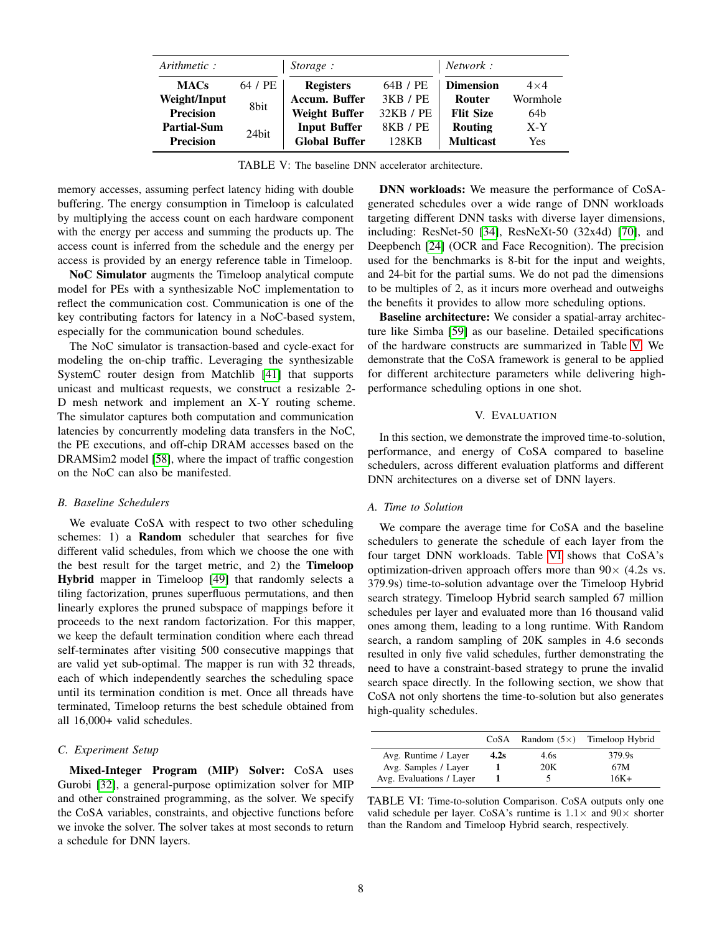<span id="page-7-0"></span>

| Arithmetic:        |         | Storage:             |           | <i>Network</i> : |            |  |
|--------------------|---------|----------------------|-----------|------------------|------------|--|
| <b>MACs</b>        | 64 / PE | <b>Registers</b>     | 64B / PE  | <b>Dimension</b> | $4\times4$ |  |
| Weight/Input       | 8bit    | Accum. Buffer        | 3KB / PE  | Router           | Wormhole   |  |
| <b>Precision</b>   |         | <b>Weight Buffer</b> | 32KB / PE | <b>Flit Size</b> | 64b        |  |
| <b>Partial-Sum</b> | 24 hit  | <b>Input Buffer</b>  | 8KB / PE  | <b>Routing</b>   | $X-Y$      |  |
| <b>Precision</b>   |         | <b>Global Buffer</b> | 128KB     | <b>Multicast</b> | Yes        |  |

TABLE V: The baseline DNN accelerator architecture.

memory accesses, assuming perfect latency hiding with double buffering. The energy consumption in Timeloop is calculated by multiplying the access count on each hardware component with the energy per access and summing the products up. The access count is inferred from the schedule and the energy per access is provided by an energy reference table in Timeloop.

NoC Simulator augments the Timeloop analytical compute model for PEs with a synthesizable NoC implementation to reflect the communication cost. Communication is one of the key contributing factors for latency in a NoC-based system, especially for the communication bound schedules.

The NoC simulator is transaction-based and cycle-exact for modeling the on-chip traffic. Leveraging the synthesizable SystemC router design from Matchlib [\[41\]](#page-12-30) that supports unicast and multicast requests, we construct a resizable 2- D mesh network and implement an X-Y routing scheme. The simulator captures both computation and communication latencies by concurrently modeling data transfers in the NoC, the PE executions, and off-chip DRAM accesses based on the DRAMSim2 model [\[58\]](#page-12-31), where the impact of traffic congestion on the NoC can also be manifested.

## *B. Baseline Schedulers*

We evaluate CoSA with respect to two other scheduling schemes: 1) a **Random** scheduler that searches for five different valid schedules, from which we choose the one with the best result for the target metric, and 2) the Timeloop Hybrid mapper in Timeloop [\[49\]](#page-12-11) that randomly selects a tiling factorization, prunes superfluous permutations, and then linearly explores the pruned subspace of mappings before it proceeds to the next random factorization. For this mapper, we keep the default termination condition where each thread self-terminates after visiting 500 consecutive mappings that are valid yet sub-optimal. The mapper is run with 32 threads, each of which independently searches the scheduling space until its termination condition is met. Once all threads have terminated, Timeloop returns the best schedule obtained from all 16,000+ valid schedules.

## *C. Experiment Setup*

Mixed-Integer Program (MIP) Solver: CoSA uses Gurobi [\[32\]](#page-11-37), a general-purpose optimization solver for MIP and other constrained programming, as the solver. We specify the CoSA variables, constraints, and objective functions before we invoke the solver. The solver takes at most seconds to return a schedule for DNN layers.

DNN workloads: We measure the performance of CoSAgenerated schedules over a wide range of DNN workloads targeting different DNN tasks with diverse layer dimensions, including: ResNet-50 [\[34\]](#page-11-0), ResNeXt-50 (32x4d) [\[70\]](#page-12-32), and Deepbench [\[24\]](#page-11-38) (OCR and Face Recognition). The precision used for the benchmarks is 8-bit for the input and weights, and 24-bit for the partial sums. We do not pad the dimensions to be multiples of 2, as it incurs more overhead and outweighs the benefits it provides to allow more scheduling options.

Baseline architecture: We consider a spatial-array architecture like Simba [\[59\]](#page-12-33) as our baseline. Detailed specifications of the hardware constructs are summarized in Table [V.](#page-7-0) We demonstrate that the CoSA framework is general to be applied for different architecture parameters while delivering highperformance scheduling options in one shot.

#### V. EVALUATION

In this section, we demonstrate the improved time-to-solution, performance, and energy of CoSA compared to baseline schedulers, across different evaluation platforms and different DNN architectures on a diverse set of DNN layers.

## *A. Time to Solution*

We compare the average time for CoSA and the baseline schedulers to generate the schedule of each layer from the four target DNN workloads. Table [VI](#page-7-1) shows that CoSA's optimization-driven approach offers more than  $90 \times (4.2s$  vs. 379.9s) time-to-solution advantage over the Timeloop Hybrid search strategy. Timeloop Hybrid search sampled 67 million schedules per layer and evaluated more than 16 thousand valid ones among them, leading to a long runtime. With Random search, a random sampling of 20K samples in 4.6 seconds resulted in only five valid schedules, further demonstrating the need to have a constraint-based strategy to prune the invalid search space directly. In the following section, we show that CoSA not only shortens the time-to-solution but also generates high-quality schedules.

<span id="page-7-1"></span>

|                          | CoSA | Random $(5\times)$ | Timeloop Hybrid |
|--------------------------|------|--------------------|-----------------|
| Avg. Runtime / Layer     | 4.2s | 4.6s               | 379.9s          |
| Avg. Samples / Layer     |      | 20K                | 67M             |
| Avg. Evaluations / Layer |      | C.                 | 16K+            |

TABLE VI: Time-to-solution Comparison. CoSA outputs only one valid schedule per layer. CoSA's runtime is  $1.1\times$  and  $90\times$  shorter than the Random and Timeloop Hybrid search, respectively.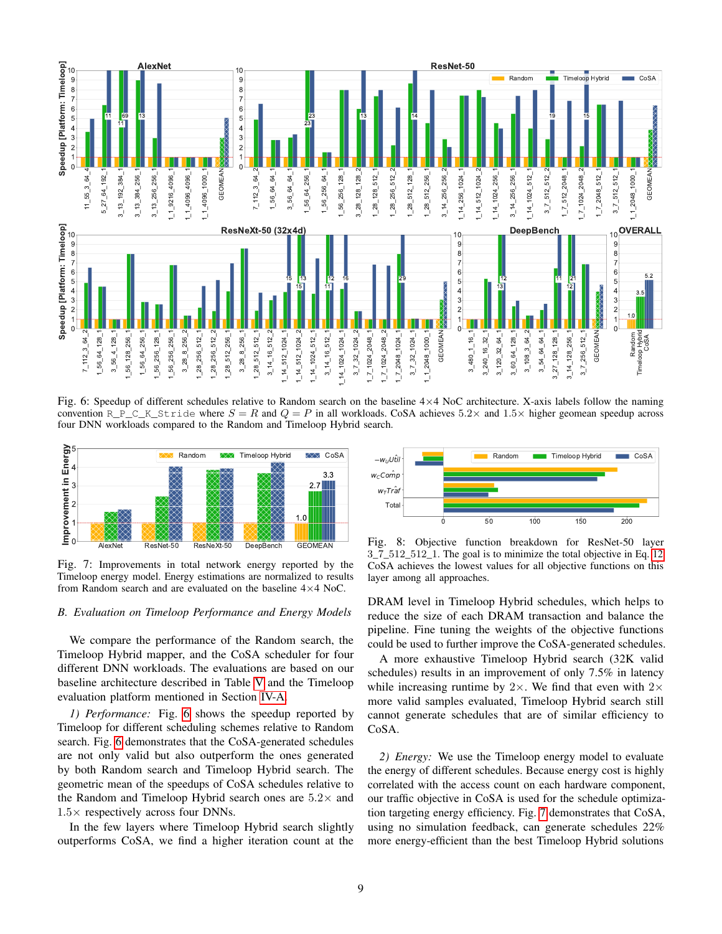<span id="page-8-0"></span>

Fig. 6: Speedup of different schedules relative to Random search on the baseline  $4\times4$  NoC architecture. X-axis labels follow the naming convention R\_P\_C\_K\_Stride where  $S = R$  and  $Q = P$  in all workloads. CoSA achieves 5.2× and 1.5× higher geomean speedup across four DNN workloads compared to the Random and Timeloop Hybrid search.

<span id="page-8-1"></span>

Fig. 7: Improvements in total network energy reported by the Timeloop energy model. Energy estimations are normalized to results from Random search and are evaluated on the baseline  $4 \times 4$  NoC.

#### *B. Evaluation on Timeloop Performance and Energy Models*

We compare the performance of the Random search, the Timeloop Hybrid mapper, and the CoSA scheduler for four different DNN workloads. The evaluations are based on our baseline architecture described in Table [V](#page-7-0) and the Timeloop evaluation platform mentioned in Section [IV-A.](#page-6-1)

*1) Performance:* Fig. [6](#page-8-0) shows the speedup reported by Timeloop for different scheduling schemes relative to Random search. Fig. [6](#page-8-0) demonstrates that the CoSA-generated schedules are not only valid but also outperform the ones generated by both Random search and Timeloop Hybrid search. The geometric mean of the speedups of CoSA schedules relative to the Random and Timeloop Hybrid search ones are  $5.2\times$  and  $1.5\times$  respectively across four DNNs.

In the few layers where Timeloop Hybrid search slightly outperforms CoSA, we find a higher iteration count at the

<span id="page-8-2"></span>

Fig. 8: Objective function breakdown for ResNet-50 layer \_7\_512\_512\_1. The goal is to minimize the total objective in Eq. [12.](#page-6-2) CoSA achieves the lowest values for all objective functions on this layer among all approaches.

DRAM level in Timeloop Hybrid schedules, which helps to reduce the size of each DRAM transaction and balance the pipeline. Fine tuning the weights of the objective functions could be used to further improve the CoSA-generated schedules.

A more exhaustive Timeloop Hybrid search (32K valid schedules) results in an improvement of only 7.5% in latency while increasing runtime by  $2 \times$ . We find that even with  $2 \times$ more valid samples evaluated, Timeloop Hybrid search still cannot generate schedules that are of similar efficiency to CoSA.

*2) Energy:* We use the Timeloop energy model to evaluate the energy of different schedules. Because energy cost is highly correlated with the access count on each hardware component, our traffic objective in CoSA is used for the schedule optimization targeting energy efficiency. Fig. [7](#page-8-1) demonstrates that CoSA, using no simulation feedback, can generate schedules 22% more energy-efficient than the best Timeloop Hybrid solutions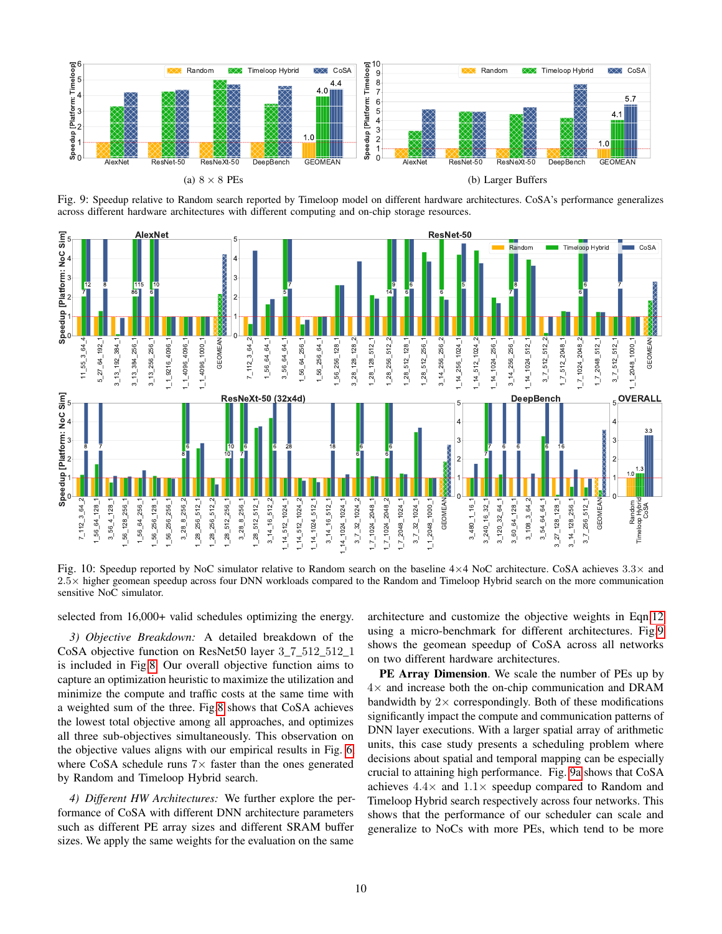<span id="page-9-0"></span>

Fig. 9: Speedup relative to Random search reported by Timeloop model on different hardware architectures. CoSA's performance generalizes across different hardware architectures with different computing and on-chip storage resources.

<span id="page-9-1"></span>

Fig. 10: Speedup reported by NoC simulator relative to Random search on the baseline  $4\times4$  NoC architecture. CoSA achieves  $3.3\times$  and .5× higher geomean speedup across four DNN workloads compared to the Random and Timeloop Hybrid search on the more communication sensitive NoC simulator.

selected from 16,000+ valid schedules optimizing the energy.

*3) Objective Breakdown:* A detailed breakdown of the CoSA objective function on ResNet50 layer 3\_7\_512\_512\_1 is included in Fig[.8.](#page-8-2) Our overall objective function aims to capture an optimization heuristic to maximize the utilization and minimize the compute and traffic costs at the same time with a weighted sum of the three. Fig[.8](#page-8-2) shows that CoSA achieves the lowest total objective among all approaches, and optimizes all three sub-objectives simultaneously. This observation on the objective values aligns with our empirical results in Fig. [6,](#page-8-0) where CoSA schedule runs  $7\times$  faster than the ones generated by Random and Timeloop Hybrid search.

*4) Different HW Architectures:* We further explore the performance of CoSA with different DNN architecture parameters such as different PE array sizes and different SRAM buffer sizes. We apply the same weights for the evaluation on the same

architecture and customize the objective weights in Eqn[.12](#page-6-2) using a micro-benchmark for different architectures. Fig[.9](#page-9-0) shows the geomean speedup of CoSA across all networks on two different hardware architectures.

PE Array Dimension. We scale the number of PEs up by  $4\times$  and increase both the on-chip communication and DRAM bandwidth by  $2 \times$  correspondingly. Both of these modifications significantly impact the compute and communication patterns of DNN layer executions. With a larger spatial array of arithmetic units, this case study presents a scheduling problem where decisions about spatial and temporal mapping can be especially crucial to attaining high performance. Fig. [9a](#page-9-0) shows that CoSA achieves  $4.4\times$  and  $1.1\times$  speedup compared to Random and Timeloop Hybrid search respectively across four networks. This shows that the performance of our scheduler can scale and generalize to NoCs with more PEs, which tend to be more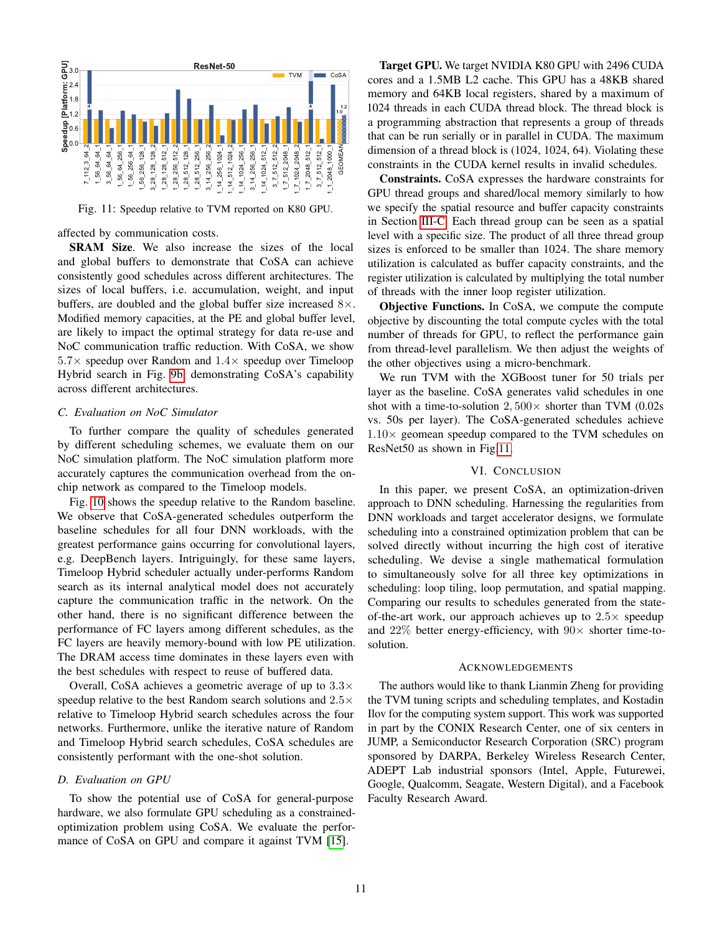<span id="page-10-0"></span>

Fig. 11: Speedup relative to TVM reported on K80 GPU.

affected by communication costs.

SRAM Size. We also increase the sizes of the local and global buffers to demonstrate that CoSA can achieve consistently good schedules across different architectures. The sizes of local buffers, i.e. accumulation, weight, and input buffers, are doubled and the global buffer size increased  $8\times$ . Modified memory capacities, at the PE and global buffer level, are likely to impact the optimal strategy for data re-use and NoC communication traffic reduction. With CoSA, we show  $5.7\times$  speedup over Random and  $1.4\times$  speedup over Timeloop Hybrid search in Fig. [9b,](#page-9-0) demonstrating CoSA's capability across different architectures.

## *C. Evaluation on NoC Simulator*

To further compare the quality of schedules generated by different scheduling schemes, we evaluate them on our NoC simulation platform. The NoC simulation platform more accurately captures the communication overhead from the onchip network as compared to the Timeloop models.

Fig. [10](#page-9-1) shows the speedup relative to the Random baseline. We observe that CoSA-generated schedules outperform the baseline schedules for all four DNN workloads, with the greatest performance gains occurring for convolutional layers, e.g. DeepBench layers. Intriguingly, for these same layers, Timeloop Hybrid scheduler actually under-performs Random search as its internal analytical model does not accurately capture the communication traffic in the network. On the other hand, there is no significant difference between the performance of FC layers among different schedules, as the FC layers are heavily memory-bound with low PE utilization. The DRAM access time dominates in these layers even with the best schedules with respect to reuse of buffered data.

Overall, CoSA achieves a geometric average of up to  $3.3\times$ speedup relative to the best Random search solutions and  $2.5\times$ relative to Timeloop Hybrid search schedules across the four networks. Furthermore, unlike the iterative nature of Random and Timeloop Hybrid search schedules, CoSA schedules are consistently performant with the one-shot solution.

#### *D. Evaluation on GPU*

To show the potential use of CoSA for general-purpose hardware, we also formulate GPU scheduling as a constrainedoptimization problem using CoSA. We evaluate the performance of CoSA on GPU and compare it against TVM [\[15\]](#page-11-15).

Target GPU. We target NVIDIA K80 GPU with 2496 CUDA cores and a 1.5MB L2 cache. This GPU has a 48KB shared memory and 64KB local registers, shared by a maximum of 1024 threads in each CUDA thread block. The thread block is a programming abstraction that represents a group of threads that can be run serially or in parallel in CUDA. The maximum dimension of a thread block is (1024, 1024, 64). Violating these constraints in the CUDA kernel results in invalid schedules.

Constraints. CoSA expresses the hardware constraints for GPU thread groups and shared/local memory similarly to how we specify the spatial resource and buffer capacity constraints in Section [III-C.](#page-4-4) Each thread group can be seen as a spatial level with a specific size. The product of all three thread group sizes is enforced to be smaller than 1024. The share memory utilization is calculated as buffer capacity constraints, and the register utilization is calculated by multiplying the total number of threads with the inner loop register utilization.

Objective Functions. In CoSA, we compute the compute objective by discounting the total compute cycles with the total number of threads for GPU, to reflect the performance gain from thread-level parallelism. We then adjust the weights of the other objectives using a micro-benchmark.

We run TVM with the XGBoost tuner for 50 trials per layer as the baseline. CoSA generates valid schedules in one shot with a time-to-solution  $2,500\times$  shorter than TVM (0.02s) vs. 50s per layer). The CoSA-generated schedules achieve  $1.10\times$  geomean speedup compared to the TVM schedules on ResNet50 as shown in Fig[.11.](#page-10-0)

## VI. CONCLUSION

In this paper, we present CoSA, an optimization-driven approach to DNN scheduling. Harnessing the regularities from DNN workloads and target accelerator designs, we formulate scheduling into a constrained optimization problem that can be solved directly without incurring the high cost of iterative scheduling. We devise a single mathematical formulation to simultaneously solve for all three key optimizations in scheduling: loop tiling, loop permutation, and spatial mapping. Comparing our results to schedules generated from the stateof-the-art work, our approach achieves up to  $2.5\times$  speedup and  $22\%$  better energy-efficiency, with  $90\times$  shorter time-tosolution.

#### ACKNOWLEDGEMENTS

The authors would like to thank Lianmin Zheng for providing the TVM tuning scripts and scheduling templates, and Kostadin Ilov for the computing system support. This work was supported in part by the CONIX Research Center, one of six centers in JUMP, a Semiconductor Research Corporation (SRC) program sponsored by DARPA, Berkeley Wireless Research Center, ADEPT Lab industrial sponsors (Intel, Apple, Futurewei, Google, Qualcomm, Seagate, Western Digital), and a Facebook Faculty Research Award.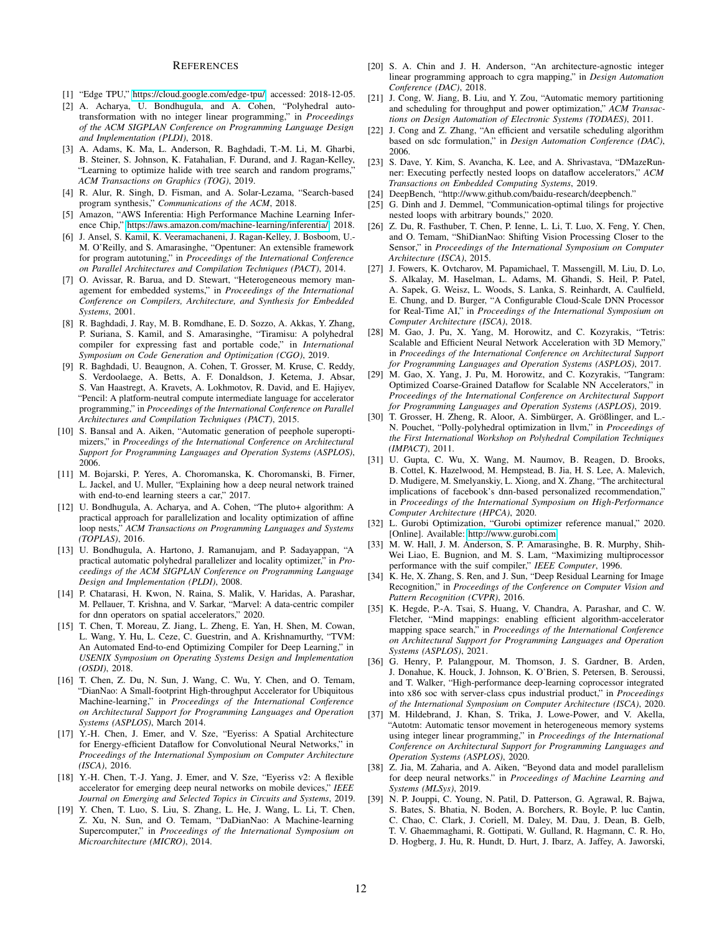#### **REFERENCES**

- <span id="page-11-3"></span>[1] "Edge TPU," [https://cloud.google.com/edge-tpu/,](https://cloud.google.com/edge-tpu/) accessed: 2018-12-05.
- <span id="page-11-31"></span>[2] A. Acharya, U. Bondhugula, and A. Cohen, "Polyhedral autotransformation with no integer linear programming," in *Proceedings of the ACM SIGPLAN Conference on Programming Language Design and Implementation (PLDI)*, 2018.
- <span id="page-11-14"></span>[3] A. Adams, K. Ma, L. Anderson, R. Baghdadi, T.-M. Li, M. Gharbi, B. Steiner, S. Johnson, K. Fatahalian, F. Durand, and J. Ragan-Kelley, "Learning to optimize halide with tree search and random programs," *ACM Transactions on Graphics (TOG)*, 2019.
- <span id="page-11-29"></span>[4] R. Alur, R. Singh, D. Fisman, and A. Solar-Lezama, "Search-based program synthesis," *Communications of the ACM*, 2018.
- <span id="page-11-7"></span>[5] Amazon, "AWS Inferentia: High Performance Machine Learning Inference Chip," [https://aws.amazon.com/machine-learning/inferentia/,](https://aws.amazon.com/machine-learning/inferentia/) 2018.
- <span id="page-11-17"></span>[6] J. Ansel, S. Kamil, K. Veeramachaneni, J. Ragan-Kelley, J. Bosboom, U.- M. O'Reilly, and S. Amarasinghe, "Opentuner: An extensible framework for program autotuning," in *Proceedings of the International Conference on Parallel Architectures and Compilation Techniques (PACT)*, 2014.
- <span id="page-11-25"></span>[7] O. Avissar, R. Barua, and D. Stewart, "Heterogeneous memory management for embedded systems," in *Proceedings of the International Conference on Compilers, Architecture, and Synthesis for Embedded Systems*, 2001.
- <span id="page-11-22"></span>[8] R. Baghdadi, J. Ray, M. B. Romdhane, E. D. Sozzo, A. Akkas, Y. Zhang, P. Suriana, S. Kamil, and S. Amarasinghe, "Tiramisu: A polyhedral compiler for expressing fast and portable code," in *International Symposium on Code Generation and Optimization (CGO)*, 2019.
- <span id="page-11-32"></span>[9] R. Baghdadi, U. Beaugnon, A. Cohen, T. Grosser, M. Kruse, C. Reddy, S. Verdoolaege, A. Betts, A. F. Donaldson, J. Ketema, J. Absar, S. Van Haastregt, A. Kravets, A. Lokhmotov, R. David, and E. Hajiyev, "Pencil: A platform-neutral compute intermediate language for accelerator programming," in *Proceedings of the International Conference on Parallel Architectures and Compilation Techniques (PACT)*, 2015.
- <span id="page-11-30"></span>[10] S. Bansal and A. Aiken, "Automatic generation of peephole superoptimizers," in *Proceedings of the International Conference on Architectural Support for Programming Languages and Operation Systems (ASPLOS)*, 2006.
- <span id="page-11-2"></span>[11] M. Bojarski, P. Yeres, A. Choromanska, K. Choromanski, B. Firner, L. Jackel, and U. Muller, "Explaining how a deep neural network trained with end-to-end learning steers a car," 2017.
- <span id="page-11-19"></span>[12] U. Bondhugula, A. Acharya, and A. Cohen, "The pluto+ algorithm: A practical approach for parallelization and locality optimization of affine loop nests," *ACM Transactions on Programming Languages and Systems (TOPLAS)*, 2016.
- <span id="page-11-20"></span>[13] U. Bondhugula, A. Hartono, J. Ramanujam, and P. Sadayappan, "A practical automatic polyhedral parallelizer and locality optimizer," in *Proceedings of the ACM SIGPLAN Conference on Programming Language Design and Implementation (PLDI)*, 2008.
- <span id="page-11-12"></span>[14] P. Chatarasi, H. Kwon, N. Raina, S. Malik, V. Haridas, A. Parashar, M. Pellauer, T. Krishna, and V. Sarkar, "Marvel: A data-centric compiler for dnn operators on spatial accelerators," 2020.
- <span id="page-11-15"></span>[15] T. Chen, T. Moreau, Z. Jiang, L. Zheng, E. Yan, H. Shen, M. Cowan, L. Wang, Y. Hu, L. Ceze, C. Guestrin, and A. Krishnamurthy, "TVM: An Automated End-to-end Optimizing Compiler for Deep Learning," in *USENIX Symposium on Operating Systems Design and Implementation (OSDI)*, 2018.
- <span id="page-11-4"></span>[16] T. Chen, Z. Du, N. Sun, J. Wang, C. Wu, Y. Chen, and O. Temam, "DianNao: A Small-footprint High-throughput Accelerator for Ubiquitous Machine-learning," in *Proceedings of the International Conference on Architectural Support for Programming Languages and Operation Systems (ASPLOS)*, March 2014.
- <span id="page-11-5"></span>[17] Y.-H. Chen, J. Emer, and V. Sze, "Eyeriss: A Spatial Architecture for Energy-efficient Dataflow for Convolutional Neural Networks," in *Proceedings of the International Symposium on Computer Architecture (ISCA)*, 2016.
- <span id="page-11-33"></span>[18] Y.-H. Chen, T.-J. Yang, J. Emer, and V. Sze, "Eyeriss v2: A flexible accelerator for emerging deep neural networks on mobile devices," *IEEE Journal on Emerging and Selected Topics in Circuits and Systems*, 2019.
- <span id="page-11-8"></span>[19] Y. Chen, T. Luo, S. Liu, S. Zhang, L. He, J. Wang, L. Li, T. Chen, Z. Xu, N. Sun, and O. Temam, "DaDianNao: A Machine-learning Supercomputer," in *Proceedings of the International Symposium on Microarchitecture (MICRO)*, 2014.
- <span id="page-11-23"></span>[20] S. A. Chin and J. H. Anderson, "An architecture-agnostic integer linear programming approach to cgra mapping," in *Design Automation Conference (DAC)*, 2018.
- <span id="page-11-27"></span>[21] J. Cong, W. Jiang, B. Liu, and Y. Zou, "Automatic memory partitioning and scheduling for throughput and power optimization," *ACM Transactions on Design Automation of Electronic Systems (TODAES)*, 2011.
- <span id="page-11-24"></span>[22] J. Cong and Z. Zhang, "An efficient and versatile scheduling algorithm based on sdc formulation," in *Design Automation Conference (DAC)*, 2006.
- <span id="page-11-13"></span>[23] S. Dave, Y. Kim, S. Avancha, K. Lee, and A. Shrivastava, "DMazeRunner: Executing perfectly nested loops on dataflow accelerators," *ACM Transactions on Embedded Computing Systems*, 2019.
- <span id="page-11-38"></span>[24] DeepBench, "http://www.github.com/baidu-research/deepbench."
- <span id="page-11-36"></span>[25] G. Dinh and J. Demmel, "Communication-optimal tilings for projective nested loops with arbitrary bounds," 2020.
- <span id="page-11-6"></span>[26] Z. Du, R. Fasthuber, T. Chen, P. Ienne, L. Li, T. Luo, X. Feng, Y. Chen, and O. Temam, "ShiDianNao: Shifting Vision Processing Closer to the Sensor," in *Proceedings of the International Symposium on Computer Architecture (ISCA)*, 2015.
- <span id="page-11-9"></span>[27] J. Fowers, K. Ovtcharov, M. Papamichael, T. Massengill, M. Liu, D. Lo, S. Alkalay, M. Haselman, L. Adams, M. Ghandi, S. Heil, P. Patel, A. Sapek, G. Weisz, L. Woods, S. Lanka, S. Reinhardt, A. Caulfield, E. Chung, and D. Burger, "A Configurable Cloud-Scale DNN Processor for Real-Time AI," in *Proceedings of the International Symposium on Computer Architecture (ISCA)*, 2018.
- <span id="page-11-34"></span>[28] M. Gao, J. Pu, X. Yang, M. Horowitz, and C. Kozyrakis, "Tetris: Scalable and Efficient Neural Network Acceleration with 3D Memory," in *Proceedings of the International Conference on Architectural Support for Programming Languages and Operation Systems (ASPLOS)*, 2017.
- <span id="page-11-35"></span>[29] M. Gao, X. Yang, J. Pu, M. Horowitz, and C. Kozyrakis, "Tangram: Optimized Coarse-Grained Dataflow for Scalable NN Accelerators," in *Proceedings of the International Conference on Architectural Support for Programming Languages and Operation Systems (ASPLOS)*, 2019.
- <span id="page-11-21"></span>[30] T. Grosser, H. Zheng, R. Aloor, A. Simbürger, A. Größlinger, and L.-N. Pouchet, "Polly-polyhedral optimization in llvm," in *Proceedings of the First International Workshop on Polyhedral Compilation Techniques (IMPACT)*, 2011.
- <span id="page-11-1"></span>[31] U. Gupta, C. Wu, X. Wang, M. Naumov, B. Reagen, D. Brooks, B. Cottel, K. Hazelwood, M. Hempstead, B. Jia, H. S. Lee, A. Malevich, D. Mudigere, M. Smelyanskiy, L. Xiong, and X. Zhang, "The architectural implications of facebook's dnn-based personalized recommendation," in *Proceedings of the International Symposium on High-Performance Computer Architecture (HPCA)*, 2020.
- <span id="page-11-37"></span>[32] L. Gurobi Optimization, "Gurobi optimizer reference manual," 2020. [Online]. Available:<http://www.gurobi.com>
- <span id="page-11-28"></span>[33] M. W. Hall, J. M. Anderson, S. P. Amarasinghe, B. R. Murphy, Shih-Wei Liao, E. Bugnion, and M. S. Lam, "Maximizing multiprocessor performance with the suif compiler," *IEEE Computer*, 1996.
- <span id="page-11-0"></span>[34] K. He, X. Zhang, S. Ren, and J. Sun, "Deep Residual Learning for Image Recognition," in *Proceedings of the Conference on Computer Vision and Pattern Recognition (CVPR)*, 2016.
- <span id="page-11-18"></span>[35] K. Hegde, P.-A. Tsai, S. Huang, V. Chandra, A. Parashar, and C. W. Fletcher, "Mind mappings: enabling efficient algorithm-accelerator mapping space search," in *Proceedings of the International Conference on Architectural Support for Programming Languages and Operation Systems (ASPLOS)*, 2021.
- <span id="page-11-10"></span>[36] G. Henry, P. Palangpour, M. Thomson, J. S. Gardner, B. Arden, J. Donahue, K. Houck, J. Johnson, K. O'Brien, S. Petersen, B. Seroussi, and T. Walker, "High-performance deep-learning coprocessor integrated into x86 soc with server-class cpus industrial product," in *Proceedings of the International Symposium on Computer Architecture (ISCA)*, 2020.
- <span id="page-11-26"></span>[37] M. Hildebrand, J. Khan, S. Trika, J. Lowe-Power, and V. Akella, "Autotm: Automatic tensor movement in heterogeneous memory systems using integer linear programming," in *Proceedings of the International Conference on Architectural Support for Programming Languages and Operation Systems (ASPLOS)*, 2020.
- <span id="page-11-16"></span>[38] Z. Jia, M. Zaharia, and A. Aiken, "Beyond data and model parallelism for deep neural networks." in *Proceedings of Machine Learning and Systems (MLSys)*, 2019.
- <span id="page-11-11"></span>[39] N. P. Jouppi, C. Young, N. Patil, D. Patterson, G. Agrawal, R. Bajwa, S. Bates, S. Bhatia, N. Boden, A. Borchers, R. Boyle, P. luc Cantin, C. Chao, C. Clark, J. Coriell, M. Daley, M. Dau, J. Dean, B. Gelb, T. V. Ghaemmaghami, R. Gottipati, W. Gulland, R. Hagmann, C. R. Ho, D. Hogberg, J. Hu, R. Hundt, D. Hurt, J. Ibarz, A. Jaffey, A. Jaworski,